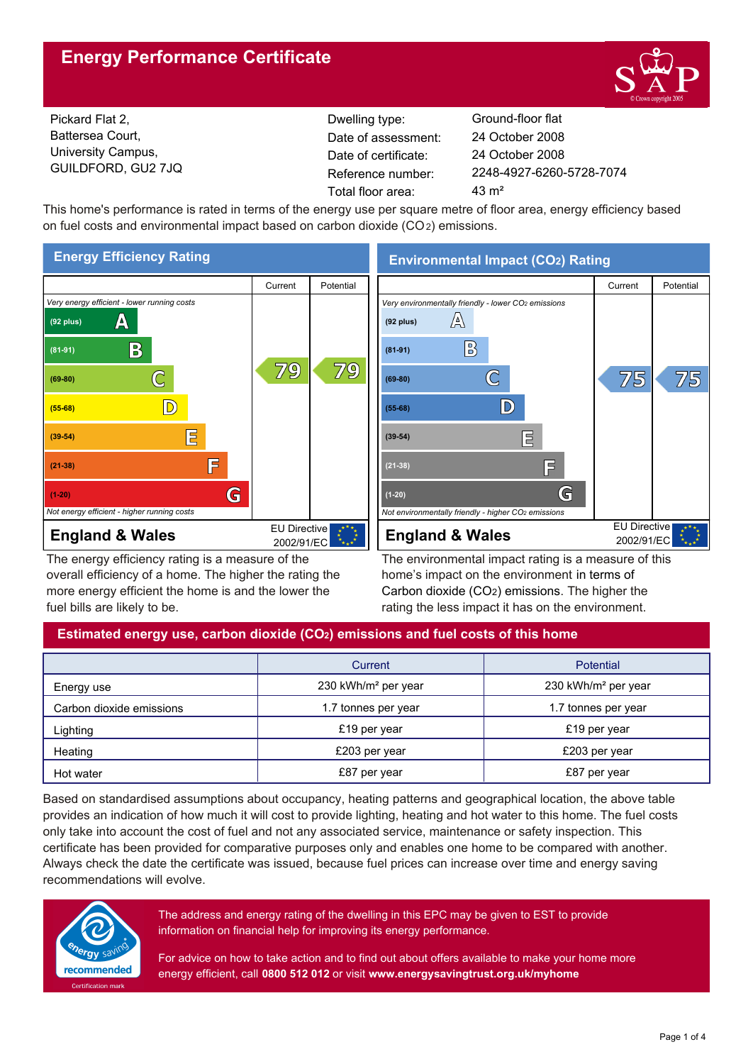# **Energy Performance Certificate**



Pickard Flat 2, Battersea Court, University Campus, GUILDFORD, GU2 7JQ

Dwelling type: Ground-floor flat Date of certificate: Total floor area: 43 m<sup>2</sup> Date of assessment:

2248-4927-6260-5728-7074 24 October 2008 24 October 2008

This home's performance is rated in terms of the energy use per square metre of floor area, energy efficiency based on fuel costs and environmental impact based on carbon dioxide (CO2) emissions.



The energy efficiency rating is a measure of the overall efficiency of a home. The higher the rating the more energy efficient the home is and the lower the fuel bills are likely to be.

**Environmental Impact (CO2) Rating**



The environmental impact rating is a measure of this home's impact on the environment in terms of Carbon dioxide (CO2) emissions. The higher the rating the less impact it has on the environment.

# **Estimated energy use, carbon dioxide (CO2) emissions and fuel costs of this home**

|                          | Current                         | Potential                       |  |
|--------------------------|---------------------------------|---------------------------------|--|
| Energy use               | 230 kWh/m <sup>2</sup> per year | 230 kWh/m <sup>2</sup> per year |  |
| Carbon dioxide emissions | 1.7 tonnes per year             | 1.7 tonnes per year             |  |
| Lighting                 | £19 per year                    | £19 per year                    |  |
| Heating                  | £203 per year                   | £203 per year                   |  |
| Hot water                | £87 per year                    | £87 per year                    |  |

Based on standardised assumptions about occupancy, heating patterns and geographical location, the above table provides an indication of how much it will cost to provide lighting, heating and hot water to this home. The fuel costs only take into account the cost of fuel and not any associated service, maintenance or safety inspection. This certificate has been provided for comparative purposes only and enables one home to be compared with another. Always check the date the certificate was issued, because fuel prices can increase over time and energy saving recommendations will evolve.



The address and energy rating of the dwelling in this EPC may be given to EST to provide information on financial help for improving its energy performance.

For advice on how to take action and to find out about offers available to make your home more energy efficient, call **0800 512 012** or visit **www.energysavingtrust.org.uk/myhome**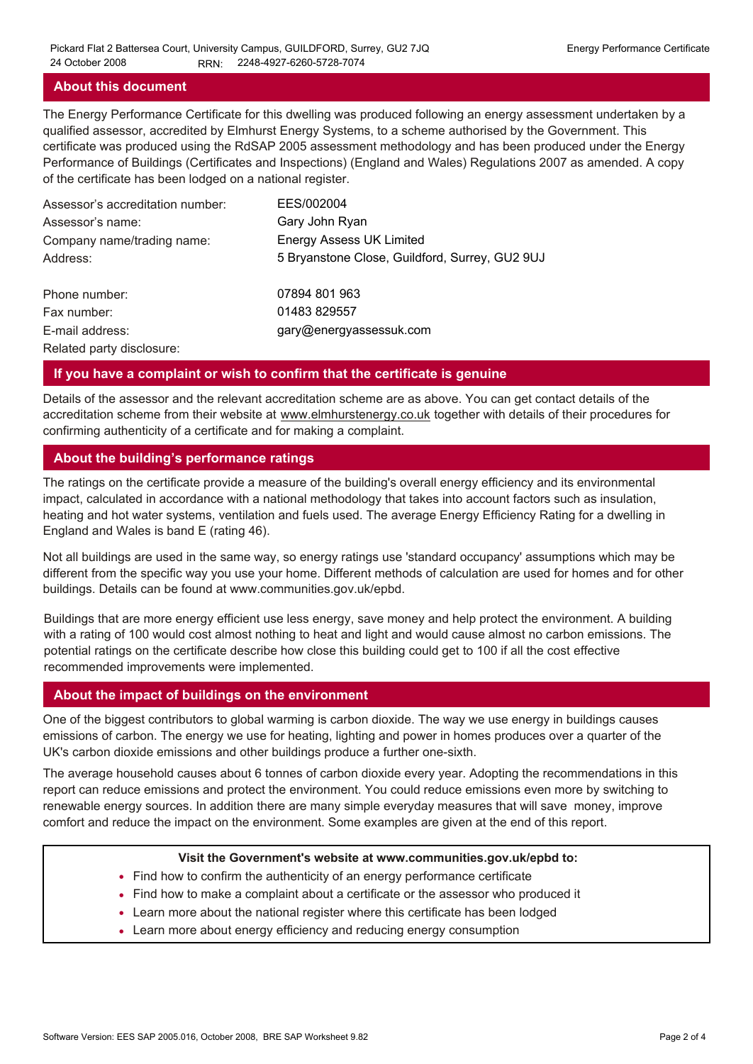### **About this document**

The Energy Performance Certificate for this dwelling was produced following an energy assessment undertaken by a qualified assessor, accredited by Elmhurst Energy Systems, to a scheme authorised by the Government. This certificate was produced using the RdSAP 2005 assessment methodology and has been produced under the Energy Performance of Buildings (Certificates and Inspections) (England and Wales) Regulations 2007 as amended. A copy of the certificate has been lodged on a national register.

| Assessor's accreditation number: | EES/002004                                     |
|----------------------------------|------------------------------------------------|
| Assessor's name:                 | Gary John Ryan                                 |
| Company name/trading name:       | <b>Energy Assess UK Limited</b>                |
| Address:                         | 5 Bryanstone Close, Guildford, Surrey, GU2 9UJ |
| Phone number:                    | 07894 801 963                                  |
| Fax number:                      | 01483 829557                                   |
| E-mail address:                  | gary@energyassessuk.com                        |
| Related party disclosure:        |                                                |

### **If you have a complaint or wish to confirm that the certificate is genuine**

Details of the assessor and the relevant accreditation scheme are as above. You can get contact details of the accreditation scheme from their website at www.elmhurstenergy.co.uk together with details of their procedures for confirming authenticity of a certificate and for making a complaint.

## **About the building's performance ratings**

The ratings on the certificate provide a measure of the building's overall energy efficiency and its environmental impact, calculated in accordance with a national methodology that takes into account factors such as insulation, heating and hot water systems, ventilation and fuels used. The average Energy Efficiency Rating for a dwelling in England and Wales is band E (rating 46).

Not all buildings are used in the same way, so energy ratings use 'standard occupancy' assumptions which may be different from the specific way you use your home. Different methods of calculation are used for homes and for other buildings. Details can be found at www.communities.gov.uk/epbd.

Buildings that are more energy efficient use less energy, save money and help protect the environment. A building with a rating of 100 would cost almost nothing to heat and light and would cause almost no carbon emissions. The potential ratings on the certificate describe how close this building could get to 100 if all the cost effective recommended improvements were implemented.

## **About the impact of buildings on the environment**

One of the biggest contributors to global warming is carbon dioxide. The way we use energy in buildings causes emissions of carbon. The energy we use for heating, lighting and power in homes produces over a quarter of the UK's carbon dioxide emissions and other buildings produce a further one-sixth.

The average household causes about 6 tonnes of carbon dioxide every year. Adopting the recommendations in this report can reduce emissions and protect the environment. You could reduce emissions even more by switching to renewable energy sources. In addition there are many simple everyday measures that will save money, improve comfort and reduce the impact on the environment. Some examples are given at the end of this report.

#### **Visit the Government's website at www.communities.gov.uk/epbd to:**

- Find how to confirm the authenticity of an energy performance certificate
- Find how to make a complaint about a certificate or the assessor who produced it •
- Learn more about the national register where this certificate has been lodged •
- Learn more about energy efficiency and reducing energy consumption •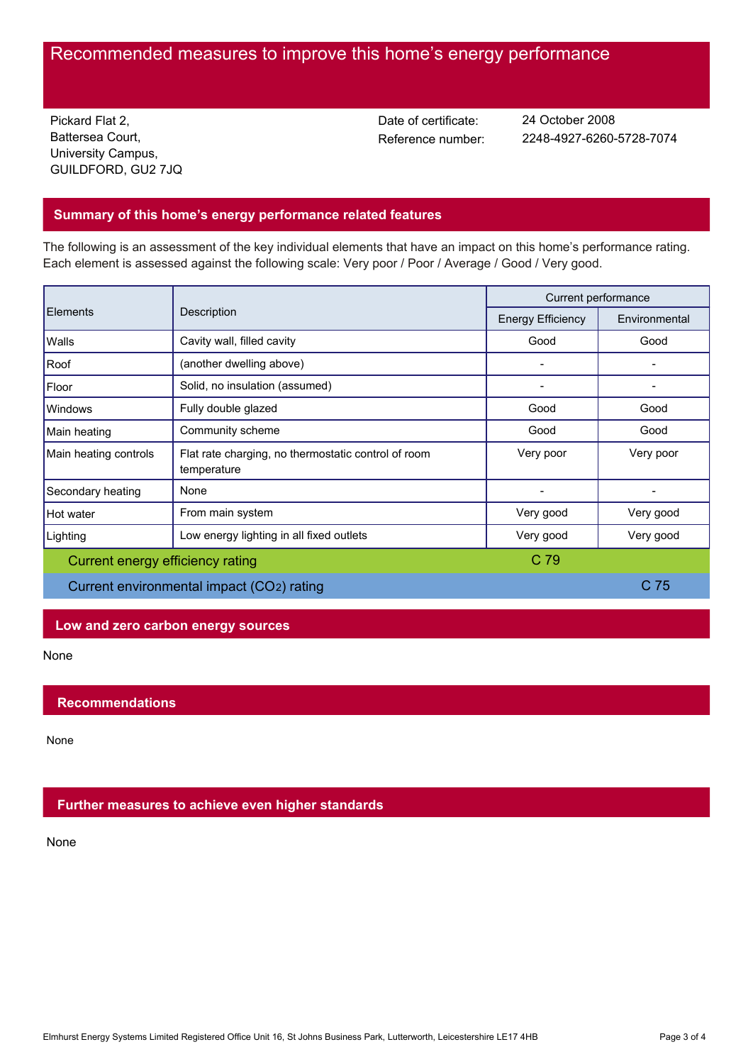# Recommended measures to improve this home's energy performance

Pickard Flat 2, Battersea Court, University Campus, GUILDFORD, GU2 7JQ Date of certificate:

Reference number: 2248-4927-6260-5728-7074 24 October 2008

## **Summary of this home's energy performance related features**

The following is an assessment of the key individual elements that have an impact on this home's performance rating. Each element is assessed against the following scale: Very poor / Poor / Average / Good / Very good.

| <b>Elements</b><br>Description            |                                                                    | Current performance      |               |
|-------------------------------------------|--------------------------------------------------------------------|--------------------------|---------------|
|                                           |                                                                    | <b>Energy Efficiency</b> | Environmental |
| Walls                                     | Cavity wall, filled cavity                                         | Good                     | Good          |
| Roof                                      | (another dwelling above)                                           |                          |               |
| Floor                                     | Solid, no insulation (assumed)                                     |                          |               |
| Windows                                   | Fully double glazed                                                | Good                     | Good          |
| Main heating                              | Community scheme                                                   | Good                     | Good          |
| Main heating controls                     | Flat rate charging, no thermostatic control of room<br>temperature | Very poor                | Very poor     |
| Secondary heating                         | None                                                               |                          |               |
| Hot water                                 | From main system                                                   | Very good                | Very good     |
| Lighting                                  | Low energy lighting in all fixed outlets                           | Very good                | Very good     |
| Current energy efficiency rating          |                                                                    | C 79                     |               |
| Current environmental impact (CO2) rating |                                                                    | C <sub>75</sub>          |               |

## **Low and zero carbon energy sources**

None

## **Recommendations**

None

## **Further measures to achieve even higher standards**

None